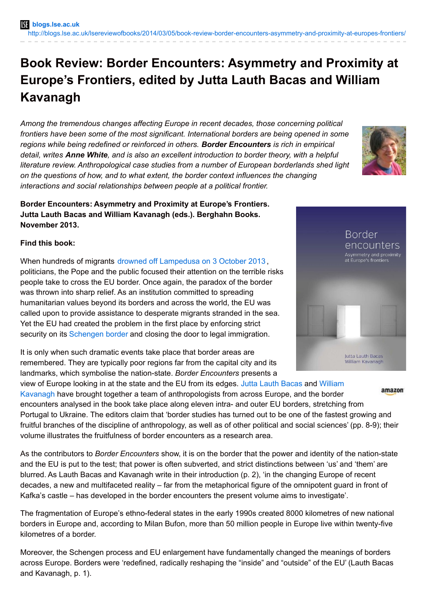## **Book Review: Border Encounters: Asymmetry and Proximity at Europe's Frontiers, edited by Jutta Lauth Bacas and William Kavanagh**

*Among the tremendous changes affecting Europe in recent decades, those concerning political frontiers have been some of the most significant. International borders are being opened in some regions while being redefined or reinforced in others. Border Encounters is rich in empirical detail, writes Anne White, and is also an excellent introduction to border theory, with a helpful literature review. Anthropological case studies from a number of European borderlands shed light on the questions of how, and to what extent, the border context influences the changing interactions and social relationships between people at a political frontier.*



**Border Encounters: Asymmetry and Proximity at Europe's Frontiers. Jutta Lauth Bacas and William Kavanagh (eds.). Berghahn Books. November 2013.**

## **Find this book:**

When hundreds of migrants drowned off [Lampedusa](http://www.bbc.co.uk/news/world-europe-24380247) on 3 October 2013, politicians, the Pope and the public focused their attention on the terrible risks people take to cross the EU border. Once again, the paradox of the border was thrown into sharp relief. As an institution committed to spreading humanitarian values beyond its borders and across the world, the EU was called upon to provide assistance to desperate migrants stranded in the sea. Yet the EU had created the problem in the first place by enforcing strict security on its [Schengen](http://www.bbc.co.uk/news/world-europe-13194723) border and closing the door to legal immigration.

It is only when such dramatic events take place that border areas are remembered. They are typically poor regions far from the capital city and its landmarks, which symbolise the nation-state. *Border Encounters* presents a

view of Europe looking in at the state and the EU from its edges. Jutta Lauth [Bacas](http://academyofathens.academia.edu/JuttaLauthBacas) and William amazon Kavanagh have brought together a team of [anthropologists](http://es.linkedin.com/pub/william-kavanagh/49/883/964) from across Europe, and the border encounters analysed in the book take place along eleven intra- and outer EU borders, stretching from Portugal to Ukraine. The editors claim that 'border studies has turned out to be one of the fastest growing and fruitful branches of the discipline of anthropology, as well as of other political and social sciences' (pp. 8-9); their volume illustrates the fruitfulness of border encounters as a research area.

As the contributors to *Border Encounters* show, it is on the border that the power and identity of the nation-state and the EU is put to the test; that power is often subverted, and strict distinctions between 'us' and 'them' are blurred. As Lauth Bacas and Kavanagh write in their introduction (p. 2), 'in the changing Europe of recent decades, a new and multifaceted reality – far from the metaphorical figure of the omnipotent guard in front of Kafka's castle – has developed in the border encounters the present volume aims to investigate'.

The fragmentation of Europe's ethno-federal states in the early 1990s created 8000 kilometres of new national borders in Europe and, according to Milan Bufon, more than 50 million people in Europe live within twenty-five kilometres of a border.

Moreover, the Schengen process and EU enlargement have fundamentally changed the meanings of borders across Europe. Borders were 'redefined, radically reshaping the "inside" and "outside" of the EU' (Lauth Bacas and Kavanagh, p. 1).

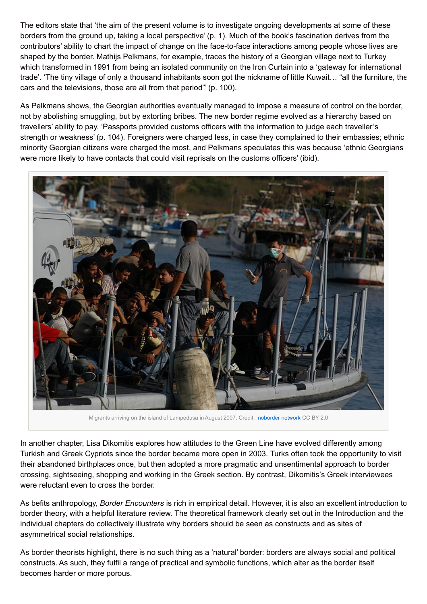The editors state that 'the aim of the present volume is to investigate ongoing developments at some of these borders from the ground up, taking a local perspective' (p. 1). Much of the book's fascination derives from the contributors' ability to chart the impact of change on the face-to-face interactions among people whose lives are shaped by the border. Mathijs Pelkmans, for example, traces the history of a Georgian village next to Turkey which transformed in 1991 from being an isolated community on the Iron Curtain into a 'gateway for international trade'. 'The tiny village of only a thousand inhabitants soon got the nickname of little Kuwait… "all the furniture, the cars and the televisions, those are all from that period"' (p. 100).

As Pelkmans shows, the Georgian authorities eventually managed to impose a measure of control on the border, not by abolishing smuggling, but by extorting bribes. The new border regime evolved as a hierarchy based on travellers' ability to pay. 'Passports provided customs officers with the information to judge each traveller's strength or weakness' (p. 104). Foreigners were charged less, in case they complained to their embassies; ethnic minority Georgian citizens were charged the most, and Pelkmans speculates this was because 'ethnic Georgians were more likely to have contacts that could visit reprisals on the customs officers' (ibid).



Migrants arriving on the island of Lampedusa in August 2007. Credit: [noborder](http://www.flickr.com/photos/noborder/2495544558/sizes/z/) network CC BY 2.0

In another chapter, Lisa Dikomitis explores how attitudes to the Green Line have evolved differently among Turkish and Greek Cypriots since the border became more open in 2003. Turks often took the opportunity to visit their abandoned birthplaces once, but then adopted a more pragmatic and unsentimental approach to border crossing, sightseeing, shopping and working in the Greek section. By contrast, Dikomitis's Greek interviewees were reluctant even to cross the border.

As befits anthropology, *Border Encounters* is rich in empirical detail. However, it is also an excellent introduction to border theory, with a helpful literature review. The theoretical framework clearly set out in the Introduction and the individual chapters do collectively illustrate why borders should be seen as constructs and as sites of asymmetrical social relationships.

As border theorists highlight, there is no such thing as a 'natural' border: borders are always social and political constructs. As such, they fulfil a range of practical and symbolic functions, which alter as the border itself becomes harder or more porous.